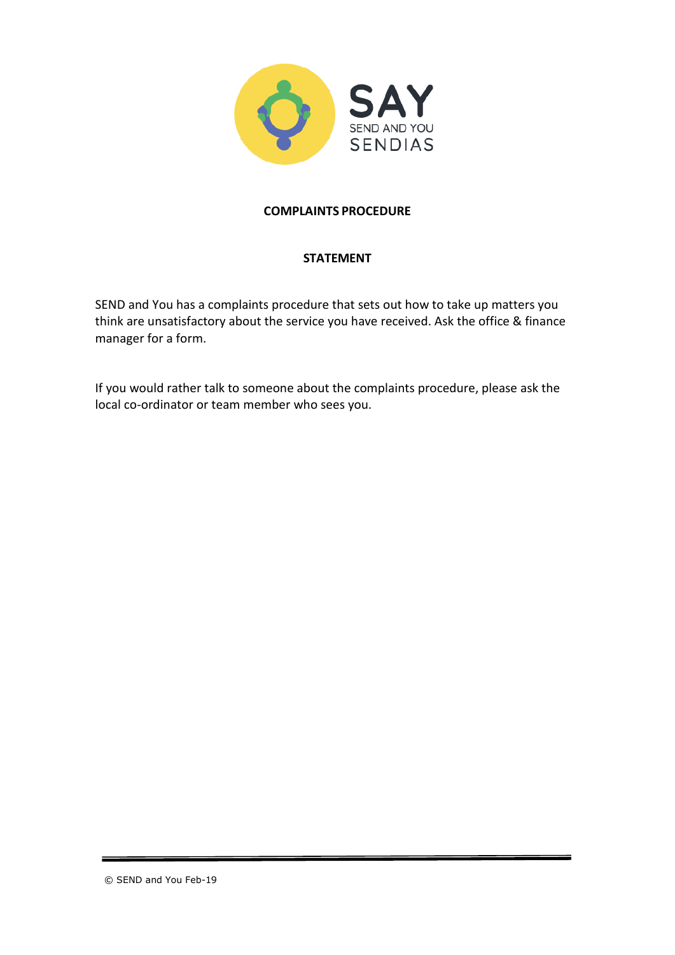

# **COMPLAINTS PROCEDURE**

# **STATEMENT**

SEND and You has a complaints procedure that sets out how to take up matters you think are unsatisfactory about the service you have received. Ask the office & finance manager for a form.

If you would rather talk to someone about the complaints procedure, please ask the local co-ordinator or team member who sees you.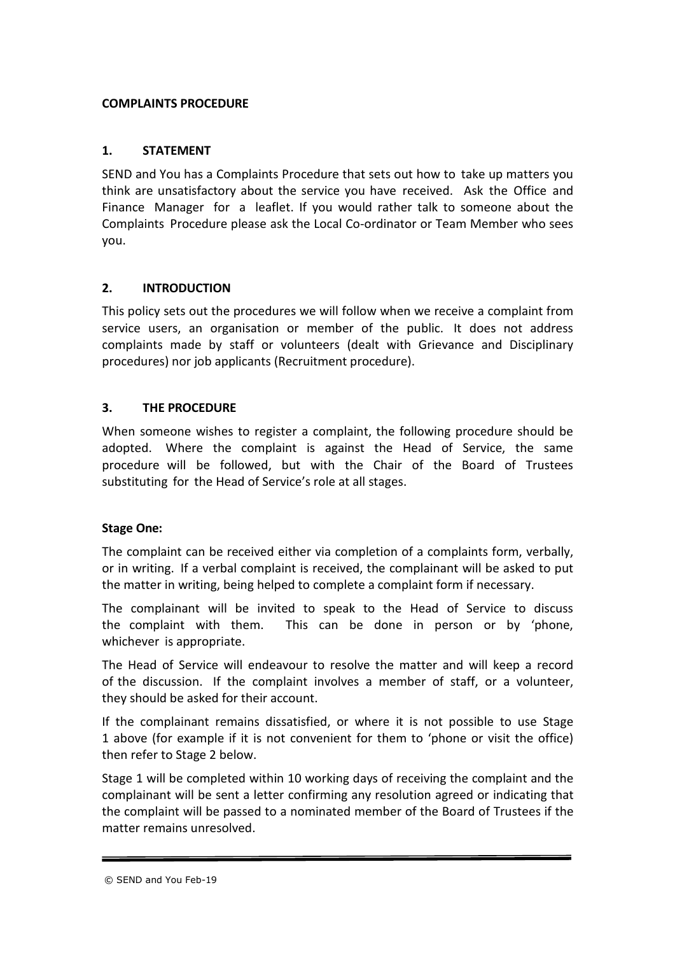## **COMPLAINTS PROCEDURE**

# **1. STATEMENT**

SEND and You has a Complaints Procedure that sets out how to take up matters you think are unsatisfactory about the service you have received. Ask the Office and Finance Manager for a leaflet. If you would rather talk to someone about the Complaints Procedure please ask the Local Co-ordinator or Team Member who sees you.

# **2. INTRODUCTION**

This policy sets out the procedures we will follow when we receive a complaint from service users, an organisation or member of the public. It does not address complaints made by staff or volunteers (dealt with Grievance and Disciplinary procedures) nor job applicants (Recruitment procedure).

# **3. THE PROCEDURE**

When someone wishes to register a complaint, the following procedure should be adopted. Where the complaint is against the Head of Service, the same procedure will be followed, but with the Chair of the Board of Trustees substituting for the Head of Service's role at all stages.

## **Stage One:**

The complaint can be received either via completion of a complaints form, verbally, or in writing. If a verbal complaint is received, the complainant will be asked to put the matter in writing, being helped to complete a complaint form if necessary.

The complainant will be invited to speak to the Head of Service to discuss the complaint with them. This can be done in person or by 'phone, whichever is appropriate.

The Head of Service will endeavour to resolve the matter and will keep a record of the discussion. If the complaint involves a member of staff, or a volunteer, they should be asked for their account.

If the complainant remains dissatisfied, or where it is not possible to use Stage 1 above (for example if it is not convenient for them to 'phone or visit the office) then refer to Stage 2 below.

Stage 1 will be completed within 10 working days of receiving the complaint and the complainant will be sent a letter confirming any resolution agreed or indicating that the complaint will be passed to a nominated member of the Board of Trustees if the matter remains unresolved.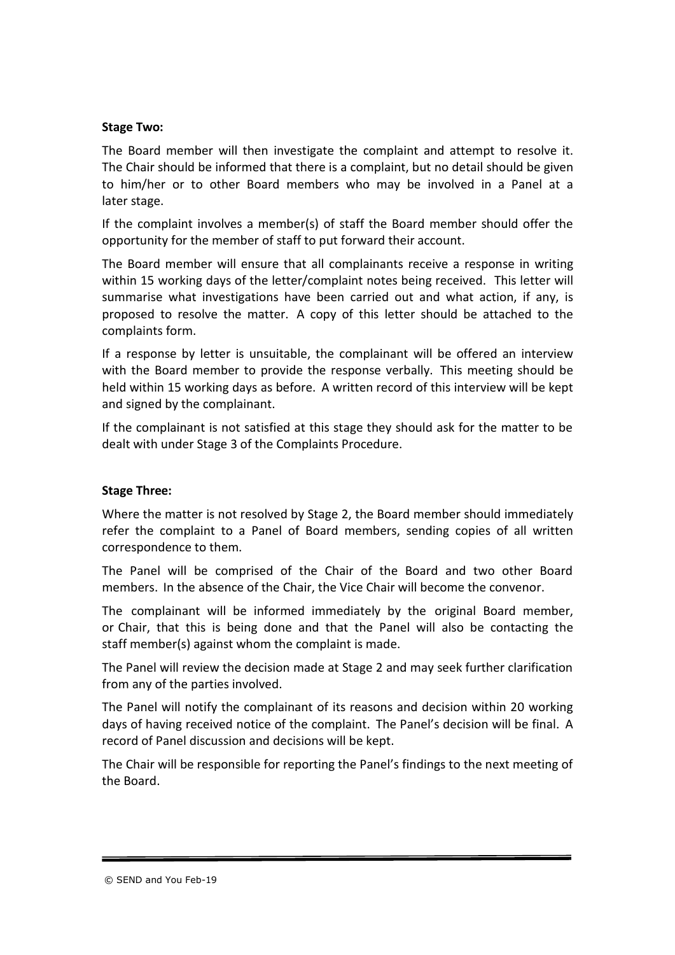#### **Stage Two:**

The Board member will then investigate the complaint and attempt to resolve it. The Chair should be informed that there is a complaint, but no detail should be given to him/her or to other Board members who may be involved in a Panel at a later stage.

If the complaint involves a member(s) of staff the Board member should offer the opportunity for the member of staff to put forward their account.

The Board member will ensure that all complainants receive a response in writing within 15 working days of the letter/complaint notes being received. This letter will summarise what investigations have been carried out and what action, if any, is proposed to resolve the matter. A copy of this letter should be attached to the complaints form.

If a response by letter is unsuitable, the complainant will be offered an interview with the Board member to provide the response verbally. This meeting should be held within 15 working days as before. A written record of this interview will be kept and signed by the complainant.

If the complainant is not satisfied at this stage they should ask for the matter to be dealt with under Stage 3 of the Complaints Procedure.

## **Stage Three:**

Where the matter is not resolved by Stage 2, the Board member should immediately refer the complaint to a Panel of Board members, sending copies of all written correspondence to them.

The Panel will be comprised of the Chair of the Board and two other Board members. In the absence of the Chair, the Vice Chair will become the convenor.

The complainant will be informed immediately by the original Board member, or Chair, that this is being done and that the Panel will also be contacting the staff member(s) against whom the complaint is made.

The Panel will review the decision made at Stage 2 and may seek further clarification from any of the parties involved.

The Panel will notify the complainant of its reasons and decision within 20 working days of having received notice of the complaint. The Panel's decision will be final. A record of Panel discussion and decisions will be kept.

The Chair will be responsible for reporting the Panel's findings to the next meeting of the Board.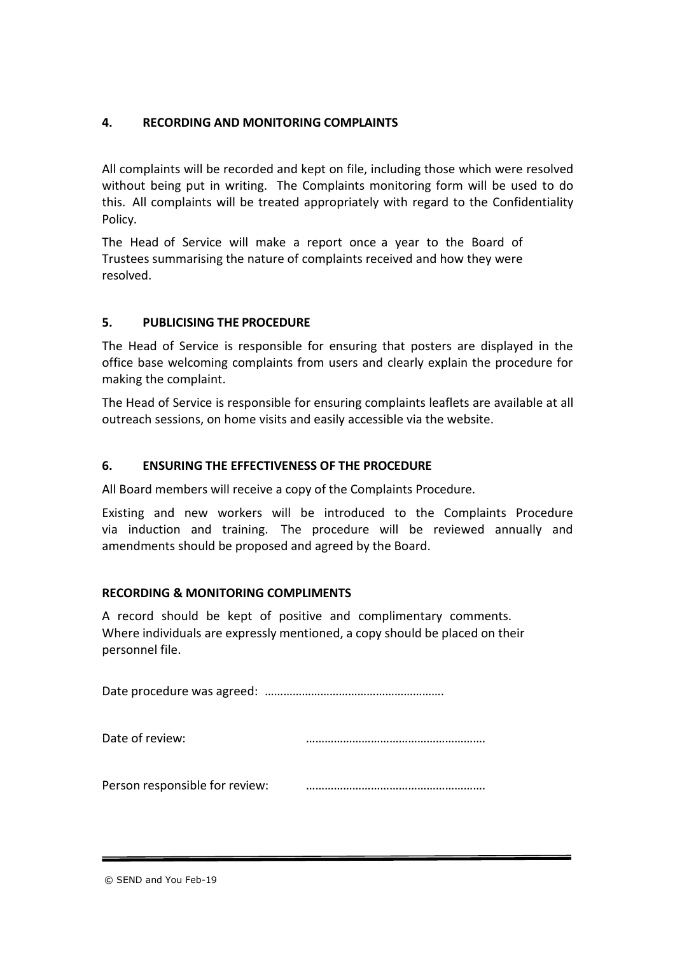# **4. RECORDING AND MONITORING COMPLAINTS**

All complaints will be recorded and kept on file, including those which were resolved without being put in writing. The Complaints monitoring form will be used to do this. All complaints will be treated appropriately with regard to the Confidentiality Policy.

The Head of Service will make a report once a year to the Board of Trustees summarising the nature of complaints received and how they were resolved.

# **5. PUBLICISING THE PROCEDURE**

The Head of Service is responsible for ensuring that posters are displayed in the office base welcoming complaints from users and clearly explain the procedure for making the complaint.

The Head of Service is responsible for ensuring complaints leaflets are available at all outreach sessions, on home visits and easily accessible via the website.

# **6. ENSURING THE EFFECTIVENESS OF THE PROCEDURE**

All Board members will receive a copy of the Complaints Procedure.

Existing and new workers will be introduced to the Complaints Procedure via induction and training. The procedure will be reviewed annually and amendments should be proposed and agreed by the Board.

## **RECORDING & MONITORING COMPLIMENTS**

A record should be kept of positive and complimentary comments. Where individuals are expressly mentioned, a copy should be placed on their personnel file.

Date procedure was agreed: ………………………………………………….

Date of review: with the contract of the contract of the contract of the contract of the contract of the contract of the contract of the contract of the contract of the contract of the contract of the contract of the contr

Person responsible for review: ………………………………………………….

© SEND and You Feb-19